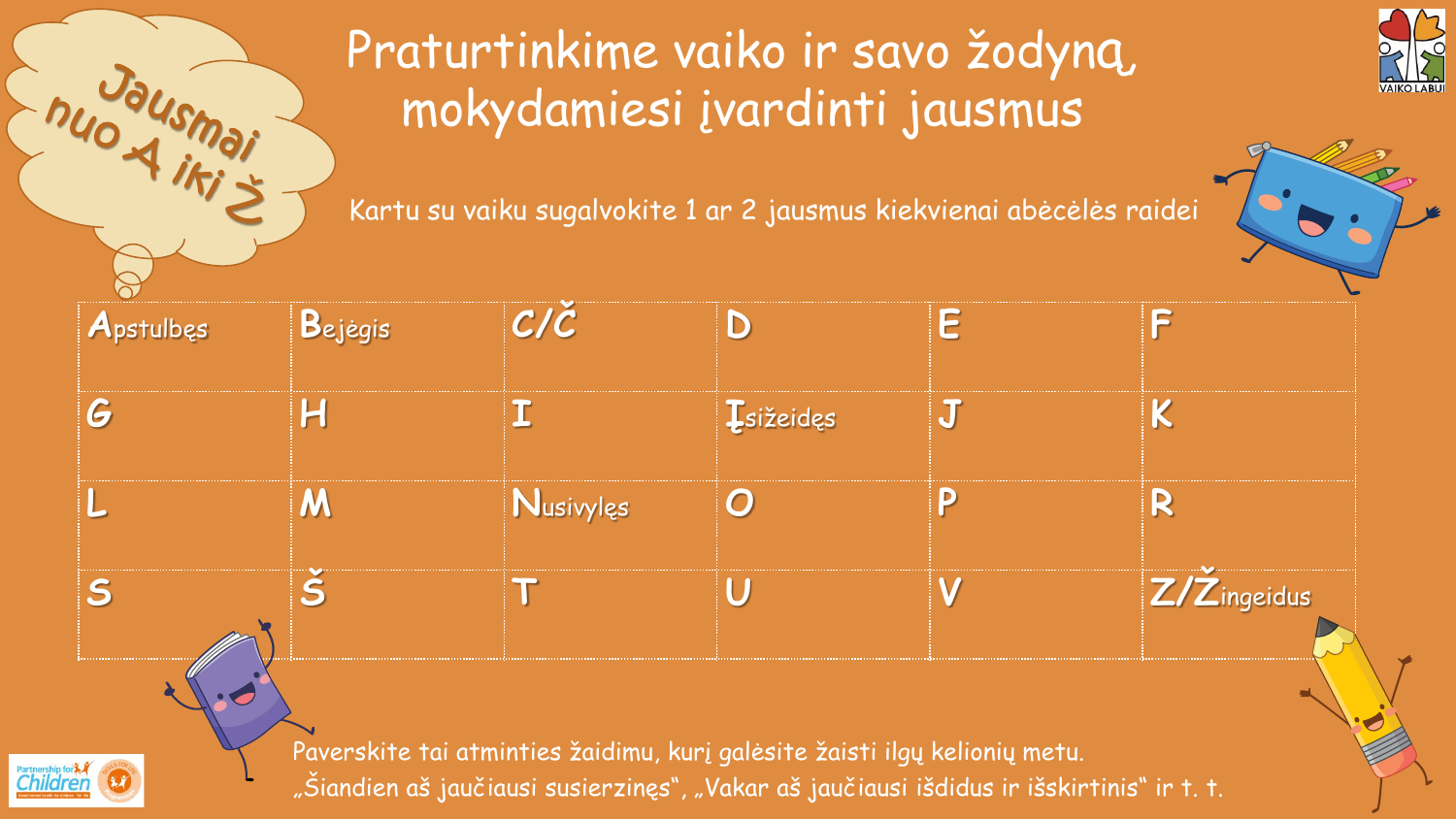

#### Praturtinkime vaiko ir savo žodyną, mokydamiesi įvardinti jausmus

Chuodusmai

**Chila** 

Kartu su vaiku sugalvokite 1 ar 2 jausmus kiekvienai abėcėlės raidei



| Apstulbes | Bejėgis | $C/\check{C}$                                                                                                                                                           | D                 | Ē |             |
|-----------|---------|-------------------------------------------------------------------------------------------------------------------------------------------------------------------------|-------------------|---|-------------|
| G         |         |                                                                                                                                                                         | <b>Į</b> sižeidęs |   |             |
|           | M       | Nusivylęs                                                                                                                                                               | $\bm{O}$          |   |             |
| S         |         |                                                                                                                                                                         |                   |   | Z/Zingeidus |
| HC        |         | Paverskite tai atminties žaidimu, kurį galėsite žaisti ilgų kelionių metu.<br>"Šiandien aš jaučiausi susierzinęs", "Vakar aš jaučiausi išdidus ir išskirtinis" ir t. t. |                   |   |             |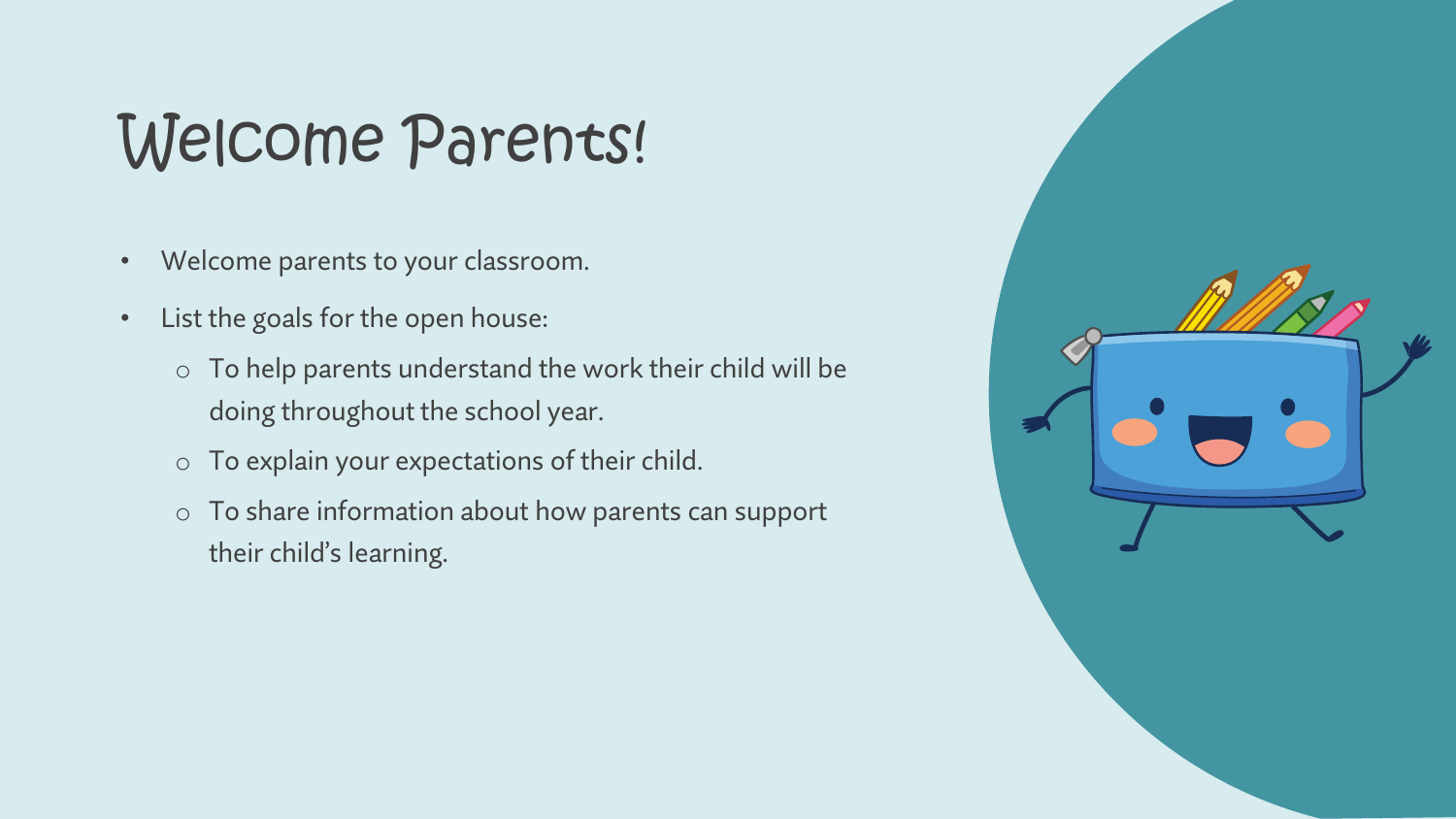# Welcome Parents!

- Welcome parents to your classroom.
- List the goals for the open house:
	- $\circ$  To help parents understand the work their child will be doing throughout the school year.
	- o To explain your expectations of their child.
	- o To share information about how parents can support their child's learning.

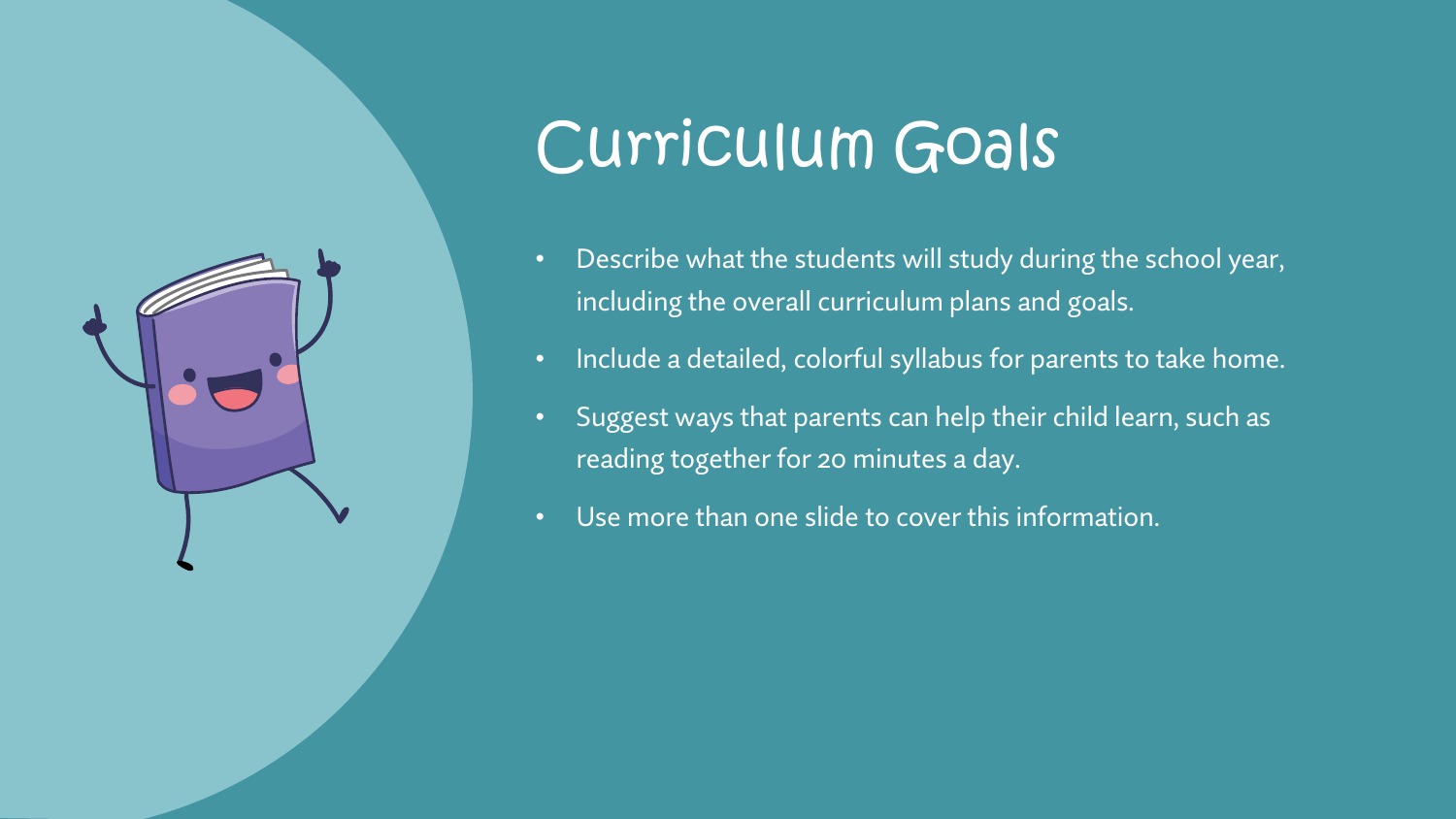

### Curriculum Goals

- Describe what the students will study during the school year, including the overall curriculum plans and goals.
- Include a detailed, colorful syllabus for parents to take home.
- Suggest ways that parents can help their child learn, such as reading together for 20 minutes a day.
- Use more than one slide to cover this information.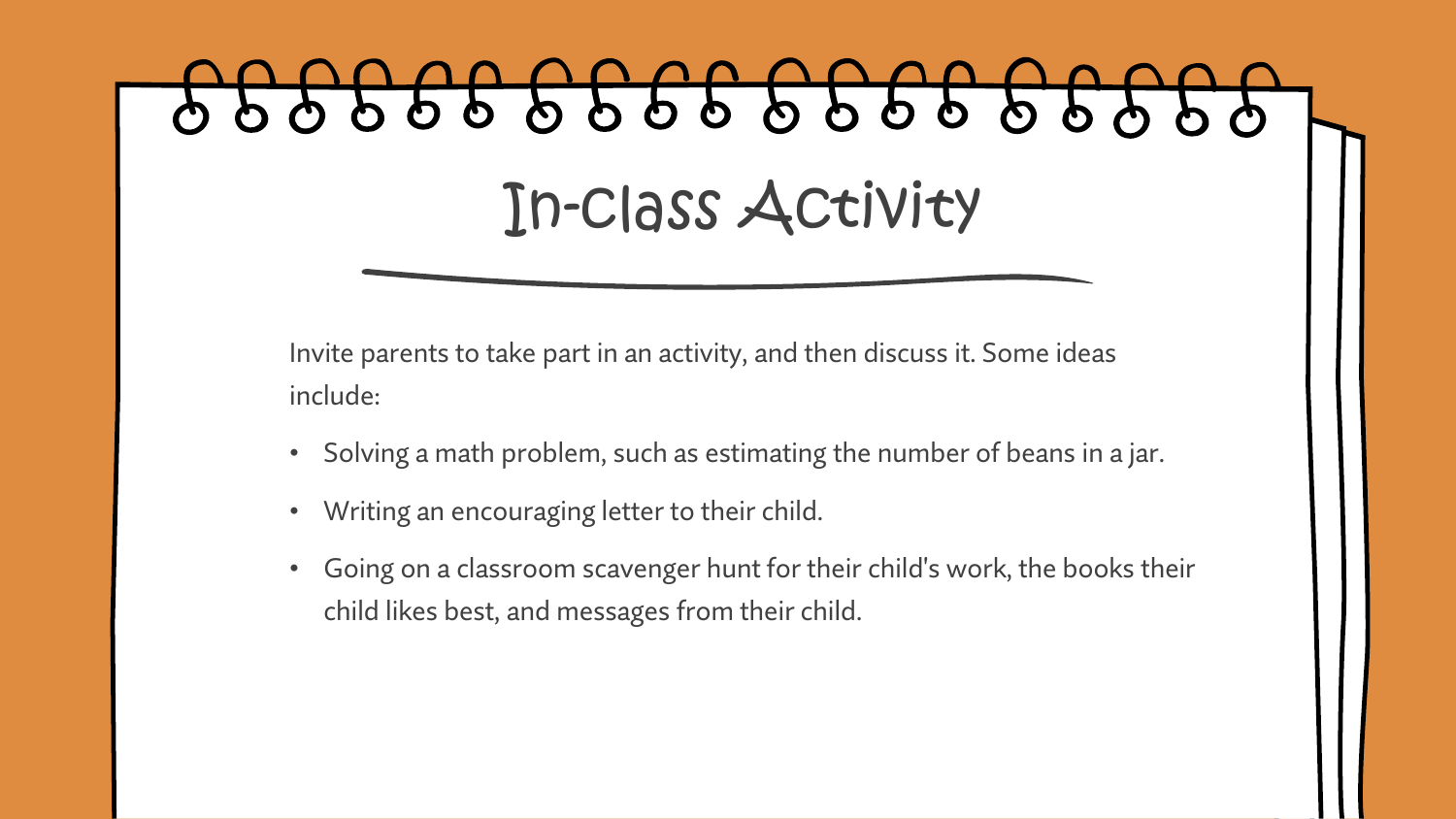# 999999999999999 In-class Activity

Invite parents to take part in an activity, and then discuss it. Some ideas include:

- Solving a math problem, such as estimating the number of beans in a jar.
- Writing an encouraging letter to their child.
- Going on a classroom scavenger hunt for their child's work, the books their child likes best, and messages from their child.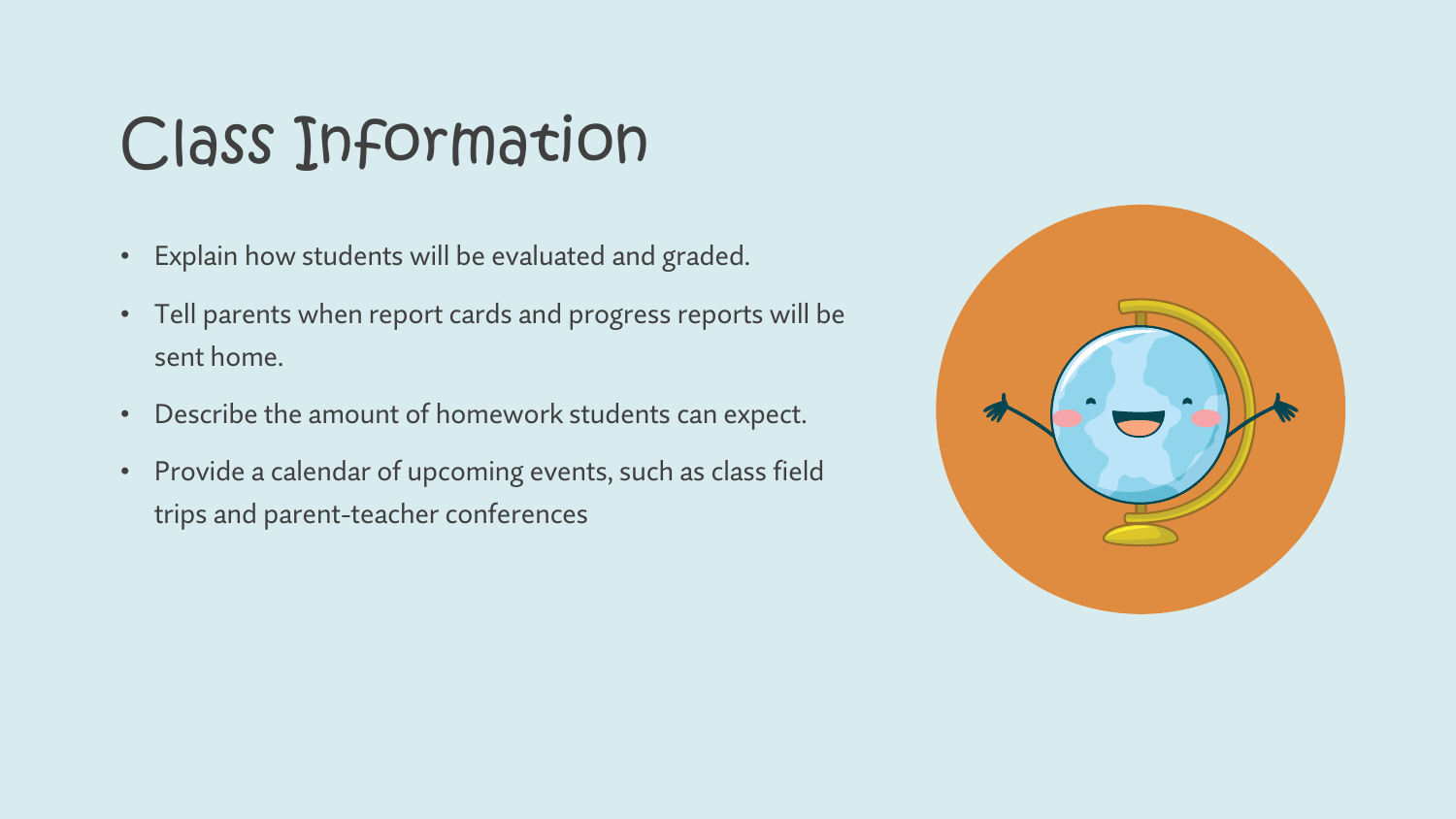### Class Information

- Explain how students will be evaluated and graded.
- Tell parents when report cards and progress reports will be sent home.
- Describe the amount of homework students can expect.
- Provide a calendar of upcoming events, such as class field trips and parent-teacher conferences

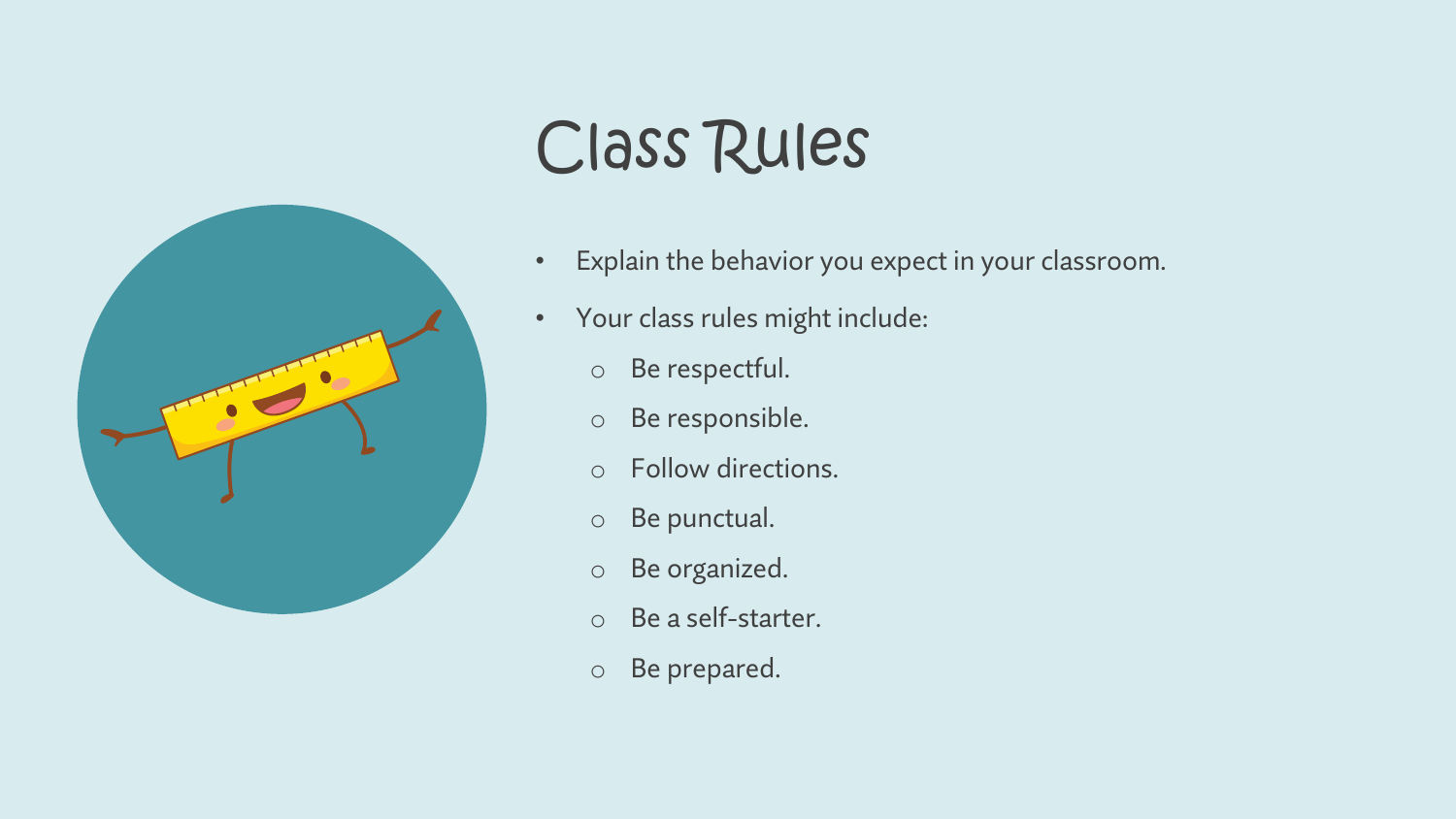

# Class Rules

- Explain the behavior you expect in your classroom.
- Your class rules might include:
	- o Be respectful.
	- o Be responsible.
	- o Follow directions.
	- o Be punctual.
	- o Be organized.
	- o Be a self-starter.
	- o Be prepared.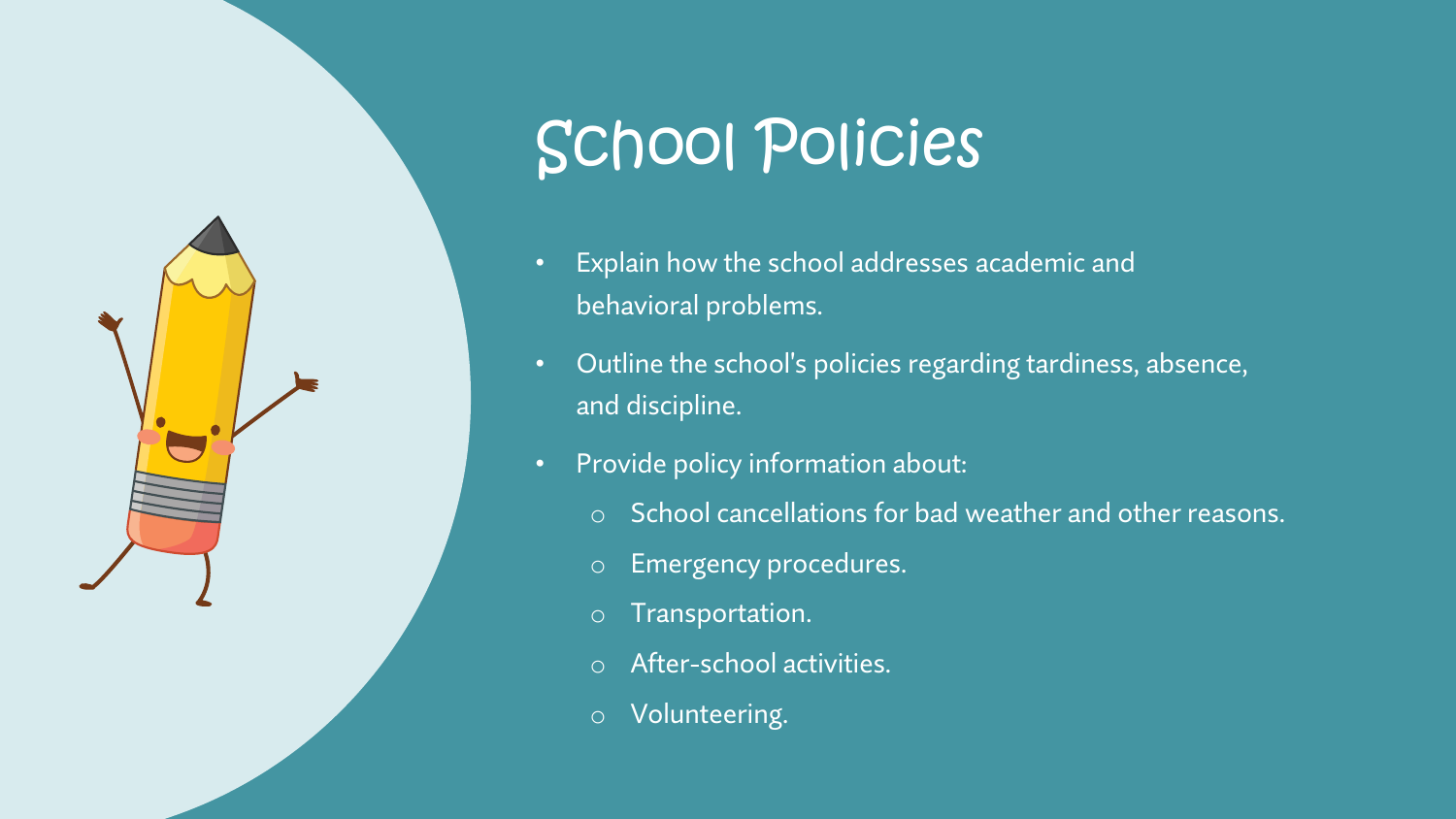

# School Policies

- Explain how the school addresses academic and behavioral problems.
- Outline the school's policies regarding tardiness, absence, and discipline.
- Provide policy information about:
	- o School cancellations for bad weather and other reasons.
	- o Emergency procedures.
	- o Transportation.
	- o After-school activities.
	- o Volunteering.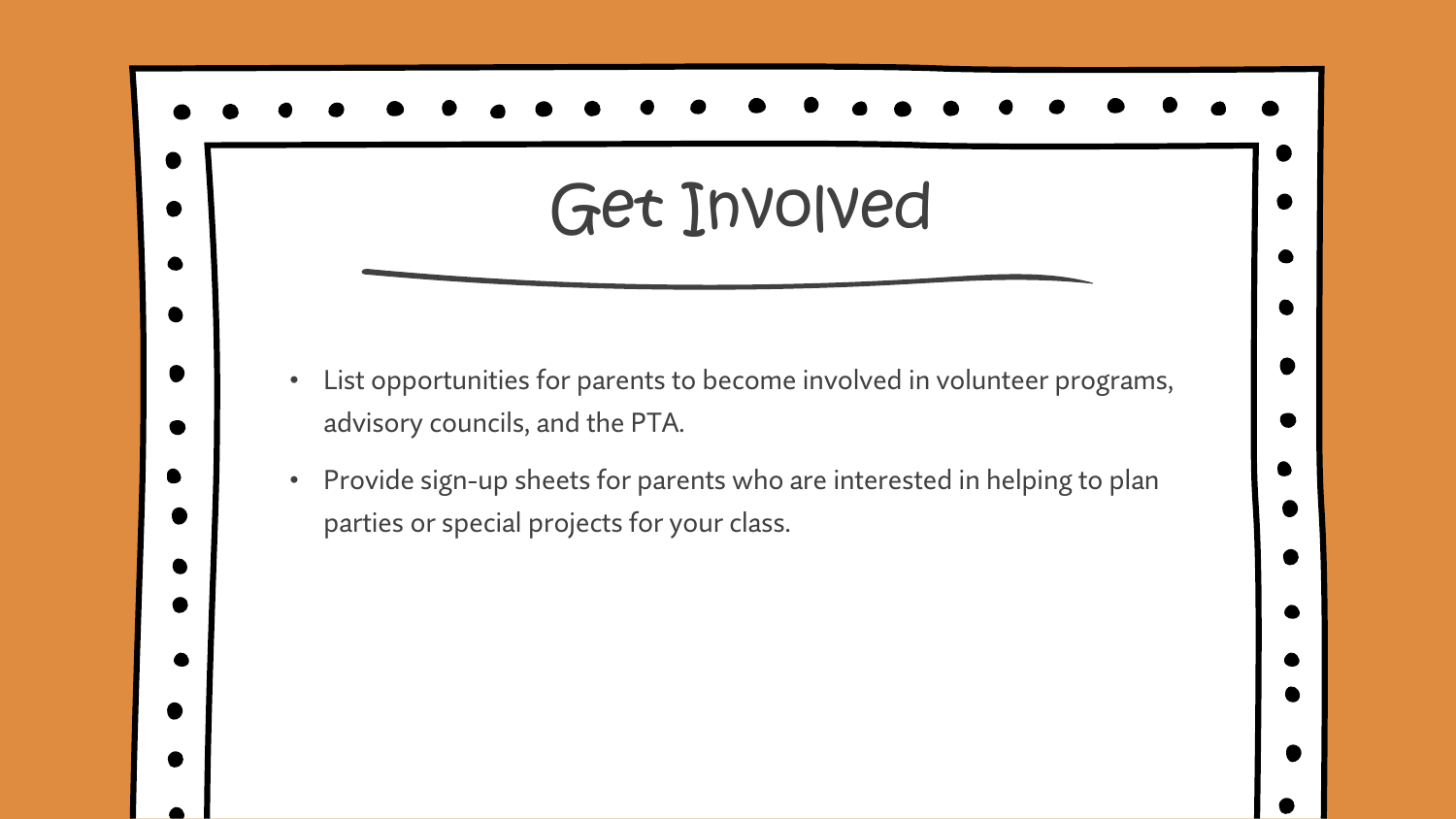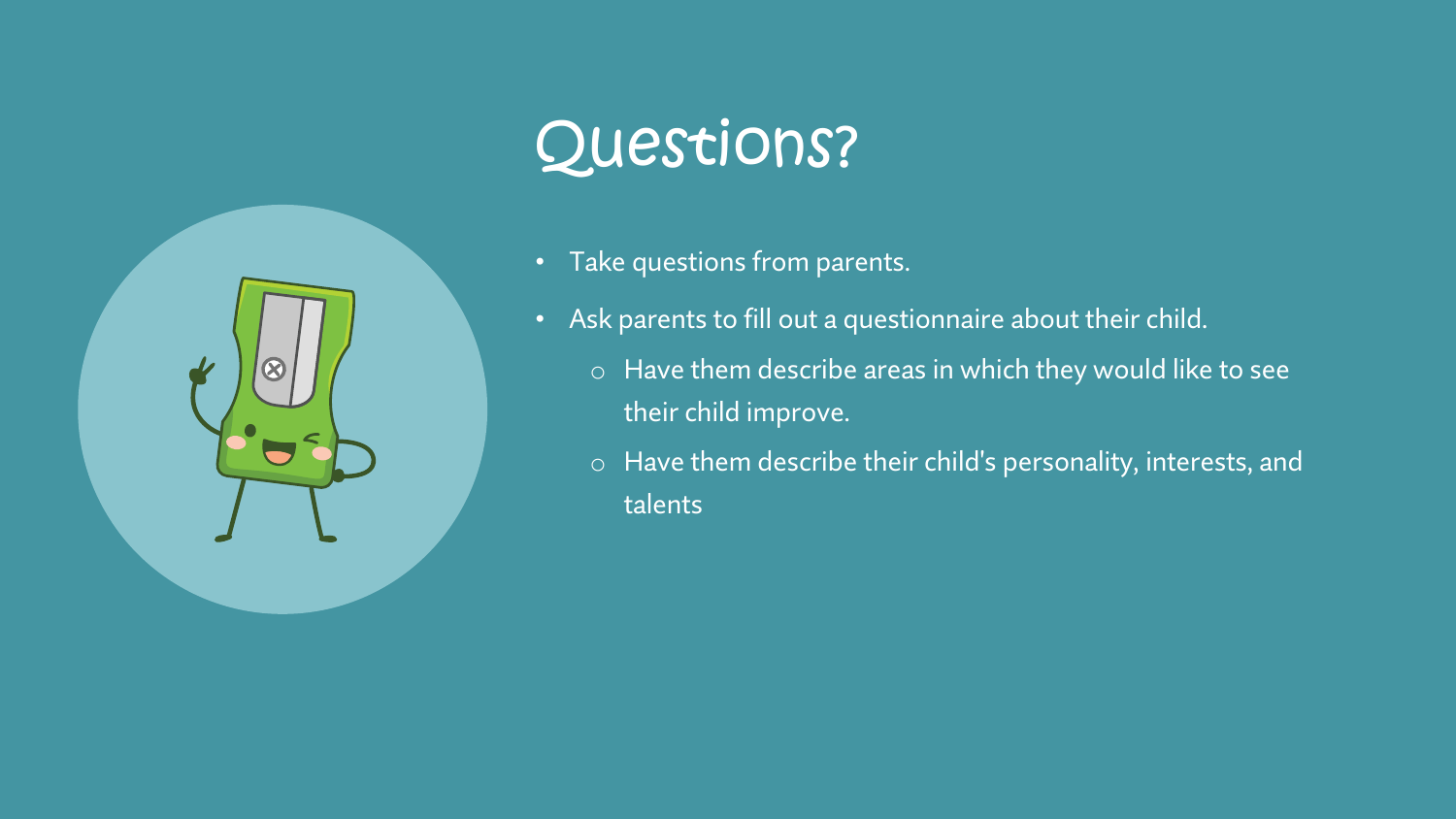

## Questions?

- Take questions from parents.
- Ask parents to fill out a questionnaire about their child.
	- o Have them describe areas in which they would like to see their child improve.
	- o Have them describe their child's personality, interests, and talents